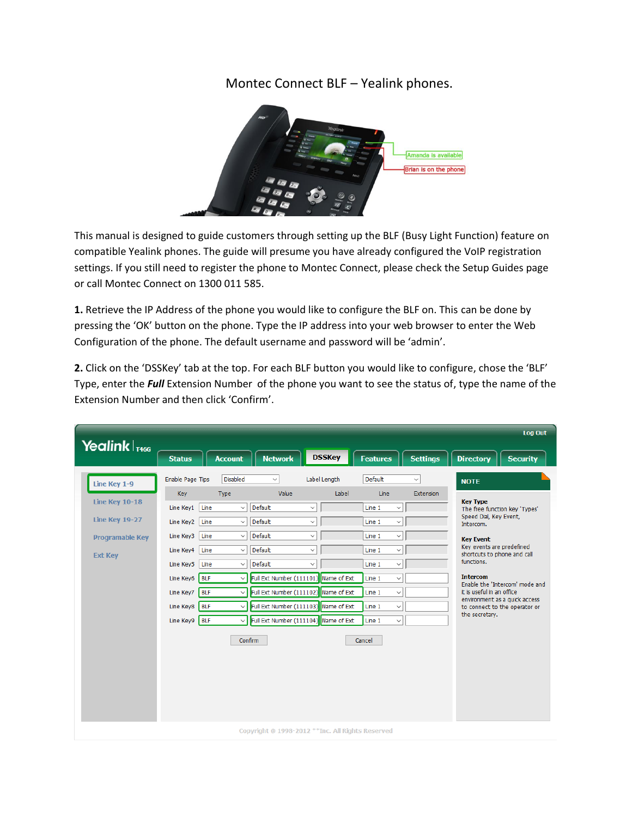## Montec Connect BLF – Yealink phones.



This manual is designed to guide customers through setting up the BLF (Busy Light Function) feature on compatible Yealink phones. The guide will presume you have already configured the VoIP registration settings. If you still need to register the phone to Montec Connect, please check the Setup Guides page or call Montec Connect on 1300 011 585.

**1.** Retrieve the IP Address of the phone you would like to configure the BLF on. This can be done by pressing the 'OK' button on the phone. Type the IP address into your web browser to enter the Web Configuration of the phone. The default username and password will be 'admin'.

**2.** Click on the 'DSSKey' tab at the top. For each BLF button you would like to configure, chose the 'BLF' Type, enter the *Full* Extension Number of the phone you want to see the status of, type the name of the Extension Number and then click 'Confirm'.

| Yealink $ _{T466}$                                                                                  |                                                                                                                                                   |                                                                                      |                                                                                                                                                                   |                                                                                                                                                                                                                                              |                                                                              |                       |                                                                                                                                                                                                                                                                     |                           |                                                                                                                                                                                                                                       | Log Out                                                                                                                           |
|-----------------------------------------------------------------------------------------------------|---------------------------------------------------------------------------------------------------------------------------------------------------|--------------------------------------------------------------------------------------|-------------------------------------------------------------------------------------------------------------------------------------------------------------------|----------------------------------------------------------------------------------------------------------------------------------------------------------------------------------------------------------------------------------------------|------------------------------------------------------------------------------|-----------------------|---------------------------------------------------------------------------------------------------------------------------------------------------------------------------------------------------------------------------------------------------------------------|---------------------------|---------------------------------------------------------------------------------------------------------------------------------------------------------------------------------------------------------------------------------------|-----------------------------------------------------------------------------------------------------------------------------------|
|                                                                                                     | <b>Status</b>                                                                                                                                     |                                                                                      | <b>Account</b>                                                                                                                                                    | <b>Network</b>                                                                                                                                                                                                                               |                                                                              | <b>DSSKey</b>         | <b>Features</b>                                                                                                                                                                                                                                                     | <b>Settings</b>           | <b>Directory</b>                                                                                                                                                                                                                      | <b>Security</b>                                                                                                                   |
| Line Key 1-9<br>Line Key 10-18<br><b>Line Key 19-27</b><br><b>Programable Key</b><br><b>Ext Key</b> | Enable Page Tips<br>Key<br>Line Key1<br>Line Key2 Line<br>Line Key3<br>Line Key4<br>Line Key5<br>Line Key6<br>Line Key7<br>Line Key8<br>Line Key9 | Line<br>Line<br>Line<br>Line<br><b>BLF</b><br><b>BLF</b><br><b>BLF</b><br><b>BLF</b> | Disabled<br>Type<br>$\checkmark$<br>$\checkmark$<br>$\checkmark$<br>$\checkmark$<br>$\checkmark$<br>$\checkmark$<br>$\backsim$ 1<br>$\checkmark$<br>√I<br>Confirm | $\checkmark$<br>Value<br>Default<br>Default<br>Default<br>Default<br>Default<br>Full Ext Number (111101) Name of Ext<br>Full Ext Number (111102) Name of Ext<br>Full Ext Number (111103) Name of Ext<br>Full Ext Number (111104) Name of Ext | $\checkmark$<br>$\checkmark$<br>$\checkmark$<br>$\checkmark$<br>$\checkmark$ | Label Length<br>Label | Default<br>Line<br>Line 1<br>$\checkmark$<br>Line 1<br>$\checkmark$<br>$\checkmark$<br>Line 1<br>Line 1<br>$\checkmark$<br>Line 1<br>$\checkmark$<br>Line 1<br>$\checkmark$<br>$\checkmark$<br>Line 1<br>Line 1<br>$\checkmark$<br>Line 1<br>$\checkmark$<br>Cancel | $\checkmark$<br>Extension | <b>NOTE</b><br><b>Key Type</b><br>Speed Dial, Key Event,<br>Intercom.<br><b>Key Event</b><br>Key events are predefined<br>shortcuts to phone and call<br>functions.<br><b>Intercom</b><br>it is useful in an office<br>the secretary. | The free function key 'Types'<br>Enable the 'Intercom' mode and<br>environment as a quick access<br>to connect to the operator or |
|                                                                                                     |                                                                                                                                                   |                                                                                      |                                                                                                                                                                   | Copyright @ 1998-2012 ** Inc. All Rights Reserved                                                                                                                                                                                            |                                                                              |                       |                                                                                                                                                                                                                                                                     |                           |                                                                                                                                                                                                                                       |                                                                                                                                   |